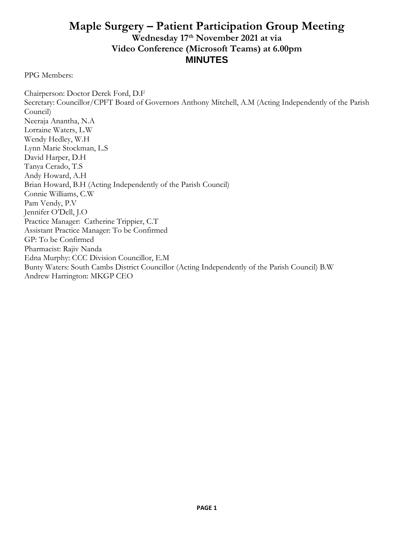## **Maple Surgery – Patient Participation Group Meeting Wednesday 17 th November 2021 at via Video Conference (Microsoft Teams) at 6.00pm MINUTES**

PPG Members:

Chairperson: Doctor Derek Ford, D.F Secretary: Councillor/CPFT Board of Governors Anthony Mitchell, A.M (Acting Independently of the Parish Council) Neeraja Anantha, N.A Lorraine Waters, L.W Wendy Hedley, W.H Lynn Marie Stockman, L.S David Harper, D.H Tanya Cerado, T.S Andy Howard, A.H Brian Howard, B.H (Acting Independently of the Parish Council) Connie Williams, C.W Pam Vendy, P.V Jennifer O'Dell, J.O Practice Manager: Catherine Trippier, C.T Assistant Practice Manager: To be Confirmed GP: To be Confirmed Pharmacist: Rajiv Nanda Edna Murphy: CCC Division Councillor, E.M Bunty Waters: South Cambs District Councillor (Acting Independently of the Parish Council) B.W Andrew Harrington: MKGP CEO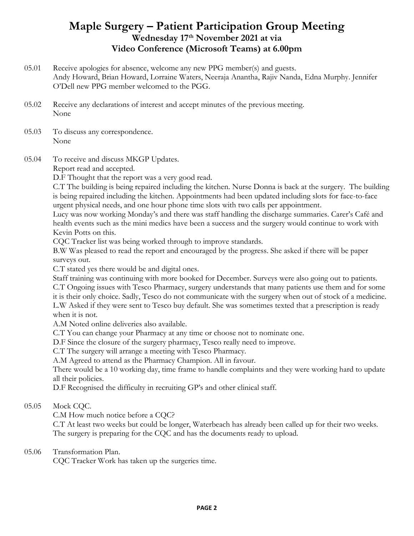### **Maple Surgery – Patient Participation Group Meeting Wednesday 17 th November 2021 at via Video Conference (Microsoft Teams) at 6.00pm**

- 05.01 Receive apologies for absence, welcome any new PPG member(s) and guests. Andy Howard, Brian Howard, Lorraine Waters, Neeraja Anantha, Rajiv Nanda, Edna Murphy. Jennifer O'Dell new PPG member welcomed to the PGG.
- 05.02 Receive any declarations of interest and accept minutes of the previous meeting. None
- 05.03 To discuss any correspondence. None
- 05.04 To receive and discuss MKGP Updates.

Report read and accepted.

D.F Thought that the report was a very good read.

C.T The building is being repaired including the kitchen. Nurse Donna is back at the surgery. The building is being repaired including the kitchen. Appointments had been updated including slots for face-to-face urgent physical needs, and one hour phone time slots with two calls per appointment.

Lucy was now working Monday's and there was staff handling the discharge summaries. Carer's Café and health events such as the mini medics have been a success and the surgery would continue to work with Kevin Potts on this.

CQC Tracker list was being worked through to improve standards.

B.W Was pleased to read the report and encouraged by the progress. She asked if there will be paper surveys out.

C.T stated yes there would be and digital ones.

Staff training was continuing with more booked for December. Surveys were also going out to patients. C.T Ongoing issues with Tesco Pharmacy, surgery understands that many patients use them and for some it is their only choice. Sadly, Tesco do not communicate with the surgery when out of stock of a medicine. L.W Asked if they were sent to Tesco buy default. She was sometimes texted that a prescription is ready when it is not.

A.M Noted online deliveries also available.

C.T You can change your Pharmacy at any time or choose not to nominate one.

D.F Since the closure of the surgery pharmacy, Tesco really need to improve.

C.T The surgery will arrange a meeting with Tesco Pharmacy.

A.M Agreed to attend as the Pharmacy Champion. All in favour.

There would be a 10 working day, time frame to handle complaints and they were working hard to update all their policies.

D.F Recognised the difficulty in recruiting GP's and other clinical staff.

05.05 Mock CQC.

C.M How much notice before a CQC?

C.T At least two weeks but could be longer, Waterbeach has already been called up for their two weeks. The surgery is preparing for the CQC and has the documents ready to upload.

#### 05.06 Transformation Plan.

CQC Tracker Work has taken up the surgeries time.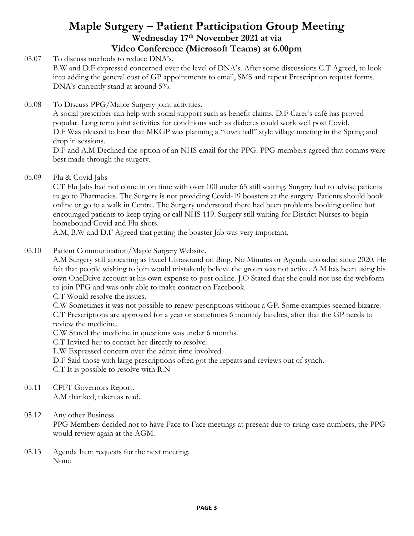## **Maple Surgery – Patient Participation Group Meeting Wednesday 17 th November 2021 at via Video Conference (Microsoft Teams) at 6.00pm**

05.07 To discuss methods to reduce DNA's. B.W and D.F expressed concerned over the level of DNA's. After some discussions C.T Agreed, to look into adding the general cost of GP appointments to email, SMS and repeat Prescription request forms. DNA's currently stand at around 5%.

05.08 To Discuss PPG/Maple Surgery joint activities.

A social prescriber can help with social support such as benefit claims. D.F Carer's café has proved popular. Long term joint activities for conditions such as diabetes could work well post Covid. D.F Was pleased to hear that MKGP was planning a "town hall" style village meeting in the Spring and drop in sessions.

D.F and A.M Declined the option of an NHS email for the PPG. PPG members agreed that comms were best made through the surgery.

05.09 Flu & Covid Jabs

> C.T Flu Jabs had not come in on time with over 100 under 65 still waiting. Surgery had to advise patients to go to Pharmacies. The Surgery is not providing Covid-19 boasters at the surgery. Patients should book online or go to a walk in Centre. The Surgery understood there had been problems booking online but encouraged patients to keep trying or call NHS 119. Surgery still waiting for District Nurses to begin homebound Covid and Flu shots.

A.M, B.W and D.F Agreed that getting the boaster Jab was very important.

05.10 Patient Communication/Maple Surgery Website.

> A.M Surgery still appearing as Excel Ultrasound on Bing. No Minutes or Agenda uploaded since 2020. He felt that people wishing to join would mistakenly believe the group was not active. A.M has been using his own OneDrive account at his own expense to post online. J.O Stated that she could not use the webform to join PPG and was only able to make contact on Facebook.

C.T Would resolve the issues.

C.W Sometimes it was not possible to renew pescriptions without a GP. Some examples seemed bizarre. C.T Prescriptions are approved for a year or sometimes 6 monthly batches, after that the GP needs to review the medicine.

C.W Stated the medicine in questions was under 6 months.

C.T Invited her to contact her directly to resolve.

L.W Expressed concern over the admit time involved.

D.F Said those with large prescriptions often got the repeats and reviews out of synch.

C.T It is possible to resolve with R.N

05.11 CPFT Governors Report.

A.M thanked, taken as read.

05.12 Any other Business.

> PPG Members decided not to have Face to Face meetings at present due to rising case numbers, the PPG would review again at the AGM.

05.13 Agenda Item requests for the next meeting. None